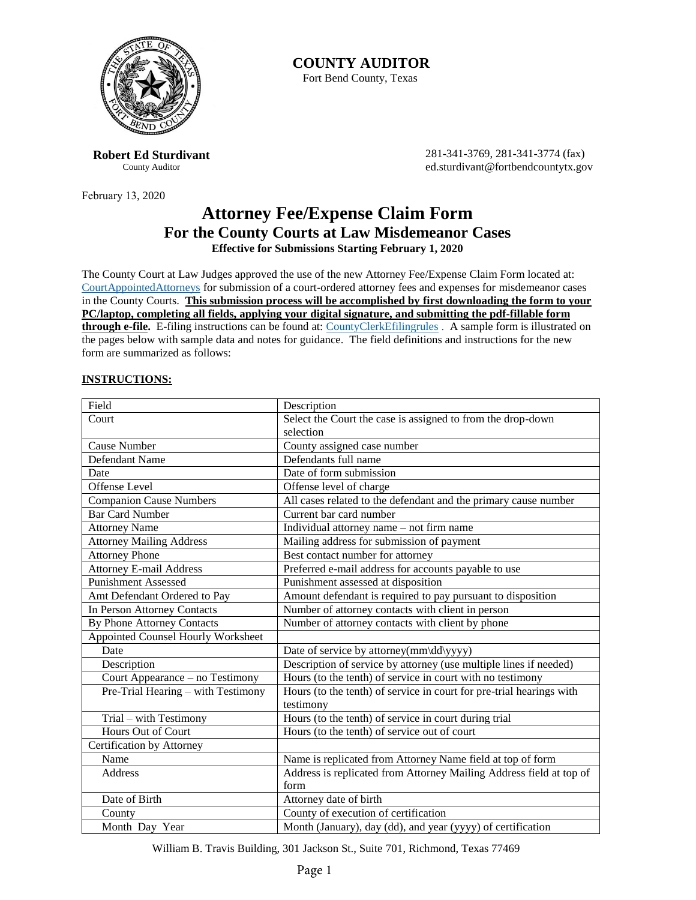

**Robert Ed Sturdivant** County Auditor

February 13, 2020

**COUNTY AUDITOR** Fort Bend County, Texas

> 281-341-3769, 281-341-3774 (fax) ed.sturdivant@fortbendcountytx.gov

### **Attorney Fee/Expense Claim Form For the County Courts at Law Misdemeanor Cases Effective for Submissions Starting February 1, 2020**

The County Court at Law Judges approved the use of the new Attorney Fee/Expense Claim Form located at: [CourtAppointedAttorneys](https://www.fortbendcountytx.gov/government/departments/financial-administration/auditor) for submission of a court-ordered attorney fees and expenses for misdemeanor cases in the County Courts. **This submission process will be accomplished by first downloading the form to your PC/laptop, completing all fields, applying your digital signature, and submitting the pdf-fillable form through e-file.** E-filing instructions can be found at: [CountyClerkEfilingrules](https://www.fortbendcountytx.gov/government/departments-a-d/county-clerk/attorney-and-pro-se-filers-new/e-filing-rules-new) . A sample form is illustrated on the pages below with sample data and notes for guidance. The field definitions and instructions for the new form are summarized as follows:

#### **INSTRUCTIONS:**

| Field                              | Description                                                          |
|------------------------------------|----------------------------------------------------------------------|
| Court                              | Select the Court the case is assigned to from the drop-down          |
|                                    | selection                                                            |
| Cause Number                       | County assigned case number                                          |
| Defendant Name                     | Defendants full name                                                 |
| Date                               | Date of form submission                                              |
| Offense Level                      | Offense level of charge                                              |
| <b>Companion Cause Numbers</b>     | All cases related to the defendant and the primary cause number      |
| <b>Bar Card Number</b>             | Current bar card number                                              |
| <b>Attorney Name</b>               | Individual attorney name – not firm name                             |
| <b>Attorney Mailing Address</b>    | Mailing address for submission of payment                            |
| <b>Attorney Phone</b>              | Best contact number for attorney                                     |
| <b>Attorney E-mail Address</b>     | Preferred e-mail address for accounts payable to use                 |
| <b>Punishment Assessed</b>         | Punishment assessed at disposition                                   |
| Amt Defendant Ordered to Pay       | Amount defendant is required to pay pursuant to disposition          |
| In Person Attorney Contacts        | Number of attorney contacts with client in person                    |
| By Phone Attorney Contacts         | Number of attorney contacts with client by phone                     |
| Appointed Counsel Hourly Worksheet |                                                                      |
| Date                               | Date of service by attorney(mm\dd\yyyy)                              |
| Description                        | Description of service by attorney (use multiple lines if needed)    |
| Court Appearance – no Testimony    | Hours (to the tenth) of service in court with no testimony           |
| Pre-Trial Hearing - with Testimony | Hours (to the tenth) of service in court for pre-trial hearings with |
|                                    | testimony                                                            |
| Trial - with Testimony             | Hours (to the tenth) of service in court during trial                |
| <b>Hours Out of Court</b>          | Hours (to the tenth) of service out of court                         |
| Certification by Attorney          |                                                                      |
| Name                               | Name is replicated from Attorney Name field at top of form           |
| <b>Address</b>                     | Address is replicated from Attorney Mailing Address field at top of  |
|                                    | form                                                                 |
| Date of Birth                      | Attorney date of birth                                               |
| County                             | County of execution of certification                                 |
| Month Day Year                     | Month (January), day (dd), and year (yyyy) of certification          |

William B. Travis Building, 301 Jackson St., Suite 701, Richmond, Texas 77469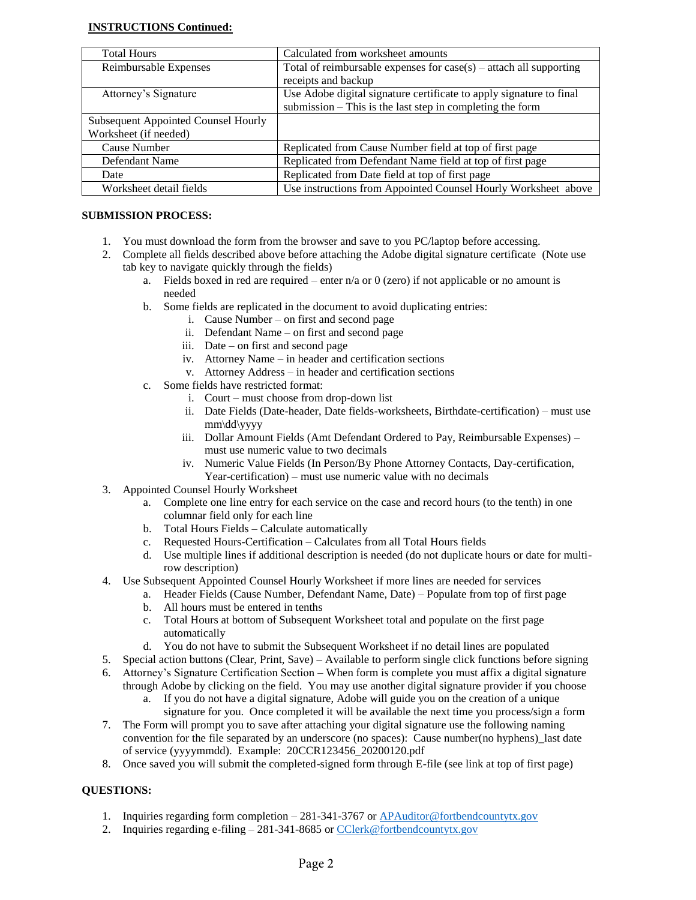#### **INSTRUCTIONS Continued:**

| <b>Total Hours</b>                         | Calculated from worksheet amounts                                    |
|--------------------------------------------|----------------------------------------------------------------------|
| Reimbursable Expenses                      | Total of reimbursable expenses for $case(s)$ – attach all supporting |
|                                            | receipts and backup                                                  |
| Attorney's Signature                       | Use Adobe digital signature certificate to apply signature to final  |
|                                            | submission $-$ This is the last step in completing the form          |
| <b>Subsequent Appointed Counsel Hourly</b> |                                                                      |
| Worksheet (if needed)                      |                                                                      |
| Cause Number                               | Replicated from Cause Number field at top of first page              |
| Defendant Name                             | Replicated from Defendant Name field at top of first page            |
| Date                                       | Replicated from Date field at top of first page                      |
| Worksheet detail fields                    | Use instructions from Appointed Counsel Hourly Worksheet above       |

#### **SUBMISSION PROCESS:**

- 1. You must download the form from the browser and save to you PC/laptop before accessing.
- 2. Complete all fields described above before attaching the Adobe digital signature certificate (Note use tab key to navigate quickly through the fields)
	- a. Fields boxed in red are required enter  $n/a$  or 0 (zero) if not applicable or no amount is needed
	- b. Some fields are replicated in the document to avoid duplicating entries:
		- i. Cause Number on first and second page
		- ii. Defendant Name on first and second page
		- iii. Date on first and second page
		- iv. Attorney Name in header and certification sections
		- v. Attorney Address in header and certification sections
	- c. Some fields have restricted format:
		- i. Court must choose from drop-down list
		- ii. Date Fields (Date-header, Date fields-worksheets, Birthdate-certification) must use mm\dd\yyyy
		- iii. Dollar Amount Fields (Amt Defendant Ordered to Pay, Reimbursable Expenses) must use numeric value to two decimals
		- iv. Numeric Value Fields (In Person/By Phone Attorney Contacts, Day-certification, Year-certification) – must use numeric value with no decimals
- 3. Appointed Counsel Hourly Worksheet
	- a. Complete one line entry for each service on the case and record hours (to the tenth) in one columnar field only for each line
	- b. Total Hours Fields Calculate automatically
	- c. Requested Hours-Certification Calculates from all Total Hours fields
	- d. Use multiple lines if additional description is needed (do not duplicate hours or date for multirow description)
- 4. Use Subsequent Appointed Counsel Hourly Worksheet if more lines are needed for services
	- a. Header Fields (Cause Number, Defendant Name, Date) Populate from top of first page
	- b. All hours must be entered in tenths
	- c. Total Hours at bottom of Subsequent Worksheet total and populate on the first page automatically
	- d. You do not have to submit the Subsequent Worksheet if no detail lines are populated
- 5. Special action buttons (Clear, Print, Save) Available to perform single click functions before signing
- 6. Attorney's Signature Certification Section When form is complete you must affix a digital signature through Adobe by clicking on the field. You may use another digital signature provider if you choose
	- a. If you do not have a digital signature, Adobe will guide you on the creation of a unique signature for you. Once completed it will be available the next time you process/sign a form
- 7. The Form will prompt you to save after attaching your digital signature use the following naming convention for the file separated by an underscore (no spaces): Cause number(no hyphens)\_last date of service (yyyymmdd). Example: 20CCR123456\_20200120.pdf
- 8. Once saved you will submit the completed-signed form through E-file (see link at top of first page)

#### **QUESTIONS:**

- 1. Inquiries regarding form completion 281-341-3767 or [APAuditor@fortbendcountytx.gov](mailto:APAuditor@fortbendcountytx.gov)
- 2. Inquiries regarding e-filing 281-341-8685 or [CClerk@fortbendcountytx.gov](mailto:CClerk@fortbendcountytx.gov)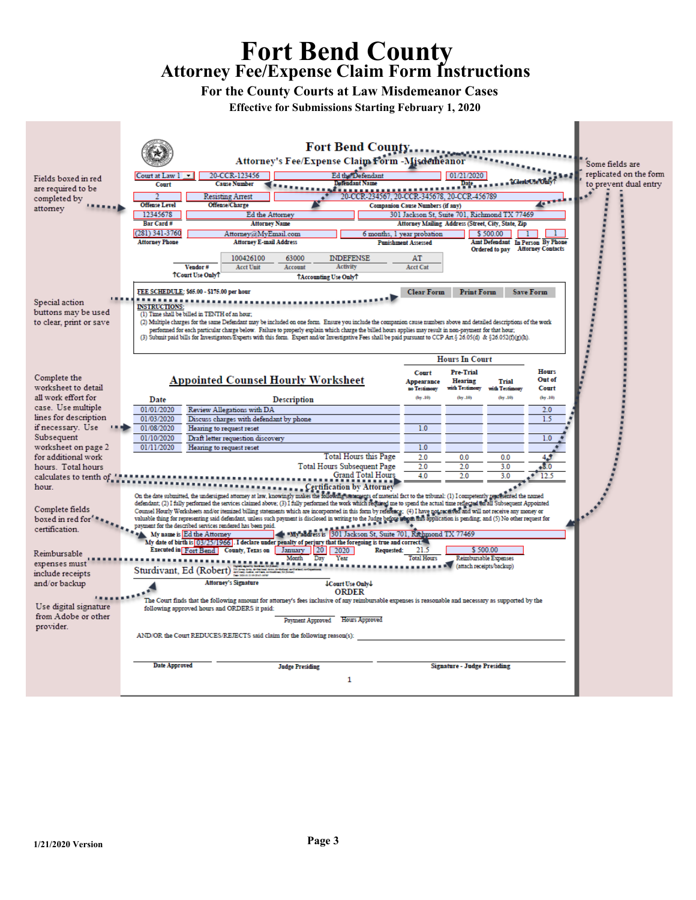## **Fort Bend County Attorney Fee/Expense Claim Form Instructions**

**For the County Courts at Law Misdemeanor Cases**

**Effective for Submissions Starting February 1, 2020**

| Fields boxed in red     | 20-CCR-123456<br>Court at Law 1                                                                                                                                                                                                                                                                                                                            | <b>Fort Bend County</b><br>Attorney's Fee/Expense Claim Form -Misdemeanor<br>Ed the Defendant |                                         | 01/21/2020                         |                                                    |                        | Some fields are<br>replicated on the form |
|-------------------------|------------------------------------------------------------------------------------------------------------------------------------------------------------------------------------------------------------------------------------------------------------------------------------------------------------------------------------------------------------|-----------------------------------------------------------------------------------------------|-----------------------------------------|------------------------------------|----------------------------------------------------|------------------------|-------------------------------------------|
| are required to be      | <b>Cause Number</b><br>Court                                                                                                                                                                                                                                                                                                                               | <b>Detendant Name</b>                                                                         |                                         | Da <u>t</u> e,                     |                                                    |                        | to prevent dual entry                     |
|                         | Resisting Arrest                                                                                                                                                                                                                                                                                                                                           | 20-CCR-234567, 20-CCR-345678, 20-CCR-456789                                                   |                                         |                                    |                                                    |                        |                                           |
| completed by            | <b>Offense Level</b><br><b>Offense/Charge</b>                                                                                                                                                                                                                                                                                                              |                                                                                               | <b>Companion Cause Numbers (if any)</b> |                                    |                                                    |                        |                                           |
| attorney                | 12345678<br>Ed the Attorney                                                                                                                                                                                                                                                                                                                                |                                                                                               |                                         |                                    | 301 Jackson St. Suite 701, Richmond TX 77469       |                        |                                           |
|                         | Bar Card#<br><b>Attorney Name</b>                                                                                                                                                                                                                                                                                                                          |                                                                                               |                                         |                                    | Attorney Mailing Address (Street, City, State, Zip |                        |                                           |
|                         | $(281)$ 341-3760<br>Attorney@MyEmail.com                                                                                                                                                                                                                                                                                                                   | 6 months, 1 year probation                                                                    |                                         |                                    | \$500.00                                           |                        |                                           |
|                         | <b>Attorney Phone</b><br><b>Attorney E-mail Address</b>                                                                                                                                                                                                                                                                                                    |                                                                                               | <b>Punishment Assessed</b>              |                                    | Amt Defendant In Person By Phone                   |                        |                                           |
|                         |                                                                                                                                                                                                                                                                                                                                                            |                                                                                               |                                         |                                    | Ordered to pay Attorney Contacts                   |                        |                                           |
|                         | 100426100<br>63000                                                                                                                                                                                                                                                                                                                                         | <b>INDEFENSE</b>                                                                              | AT                                      |                                    |                                                    |                        |                                           |
|                         | <b>Acct Unit</b><br>Vendor#<br>Account                                                                                                                                                                                                                                                                                                                     | Activity                                                                                      | <b>Acct Cat</b>                         |                                    |                                                    |                        |                                           |
|                         | <b>TCourt Use OnlyT</b>                                                                                                                                                                                                                                                                                                                                    | TAccounting Use OnlyT                                                                         |                                         |                                    |                                                    |                        |                                           |
|                         | FEE SCHEDULE: \$65.00 - \$175.00 per hour                                                                                                                                                                                                                                                                                                                  |                                                                                               | <b>Clear Form</b>                       | <b>Print Form</b>                  |                                                    | <b>Save Form</b>       |                                           |
| Special action          |                                                                                                                                                                                                                                                                                                                                                            |                                                                                               |                                         |                                    |                                                    |                        |                                           |
| buttons may be used     | <b>INSTRUCTIONS:</b>                                                                                                                                                                                                                                                                                                                                       |                                                                                               |                                         |                                    |                                                    |                        |                                           |
|                         | (1) Time shall be billed in TENTH of an hour,<br>(2) Multiple charges for the same Defendant may be included on one form. Ensure you include the companion cause numbers above and detailed descriptions of the work                                                                                                                                       |                                                                                               |                                         |                                    |                                                    |                        |                                           |
| to clear, print or save | performed for each particular charge below. Failure to properly explain which charge the billed hours applies may result in non-payment for that hour;                                                                                                                                                                                                     |                                                                                               |                                         |                                    |                                                    |                        |                                           |
|                         | (3) Submit paid bills for Investigators/Experts with this form. Expert and/or Investigative Fees shall be paid pursuant to CCP Art. § 26.05(d) & §26.052(f)(g)(h).                                                                                                                                                                                         |                                                                                               |                                         |                                    |                                                    |                        |                                           |
|                         |                                                                                                                                                                                                                                                                                                                                                            |                                                                                               |                                         |                                    |                                                    |                        |                                           |
|                         |                                                                                                                                                                                                                                                                                                                                                            |                                                                                               |                                         | <b>Hours In Court</b>              |                                                    |                        |                                           |
|                         |                                                                                                                                                                                                                                                                                                                                                            |                                                                                               |                                         |                                    |                                                    |                        |                                           |
| Complete the            |                                                                                                                                                                                                                                                                                                                                                            |                                                                                               | Court                                   | Pre-Trial                          |                                                    | Hours<br>Out of        |                                           |
| worksheet to detail     | <b>Appointed Counsel Hourly Worksheet</b>                                                                                                                                                                                                                                                                                                                  |                                                                                               | Appearance<br>no Testimony              | <b>Hearing</b><br>with Testimony   | Trial<br>with Testimony                            | Court                  |                                           |
| all work effort for     |                                                                                                                                                                                                                                                                                                                                                            |                                                                                               | (bv.10)                                 | (by.10)                            | (by.10)                                            | (by.10)                |                                           |
| case. Use multiple      | Date<br><b>Description</b>                                                                                                                                                                                                                                                                                                                                 |                                                                                               |                                         |                                    |                                                    |                        |                                           |
| lines for description   | 01/01/2020<br>Review Allegations with DA                                                                                                                                                                                                                                                                                                                   |                                                                                               |                                         |                                    |                                                    | 2.0                    |                                           |
| if necessary. Use       | 01/03/2020<br>Discuss charges with defendant by phone                                                                                                                                                                                                                                                                                                      |                                                                                               |                                         |                                    |                                                    | 1.5                    |                                           |
|                         | 01/08/2020<br>Hearing to request reset                                                                                                                                                                                                                                                                                                                     |                                                                                               | 1.0                                     |                                    |                                                    |                        |                                           |
| Subsequent              | 01/10/2020<br>Draft letter requestion discovery                                                                                                                                                                                                                                                                                                            |                                                                                               |                                         |                                    |                                                    | 1.0                    |                                           |
| worksheet on page 2     | 01/11/2020<br>Hearing to request reset                                                                                                                                                                                                                                                                                                                     | Total Hours this Page                                                                         | 1.0                                     |                                    |                                                    |                        |                                           |
| for additional work     |                                                                                                                                                                                                                                                                                                                                                            |                                                                                               | 2.0<br>2.0                              | 0.0<br>2.0                         | 0.0                                                | 45                     |                                           |
| hours. Total hours      | <b>Total Hours Subsequent Page</b><br>Grand Total Hours                                                                                                                                                                                                                                                                                                    |                                                                                               |                                         | 2.0                                | 3.0<br>3.0                                         | $\mathbf{8.0}$<br>12.5 |                                           |
| calculates to tenth of  |                                                                                                                                                                                                                                                                                                                                                            |                                                                                               | 4.0                                     |                                    |                                                    |                        |                                           |
| hour.                   |                                                                                                                                                                                                                                                                                                                                                            | Certification by Attorney                                                                     |                                         |                                    |                                                    |                        |                                           |
|                         | On the date submitted, the undersigned attorney at law, knowingly makes the following statements of material fact to the tribunal: (1) I competently represented the named<br>defendant; (2) I fully performed the services claimed above; (3) I fully performed the work which required me to spend the actual time reflected on all Subsequent Appointed |                                                                                               |                                         |                                    |                                                    |                        |                                           |
| Complete fields         | Counsel Hourly Worksheets and/or itemized billing statements which are incorporated in this form by reference: (4) I have not received and will not receive any money or                                                                                                                                                                                   |                                                                                               |                                         |                                    |                                                    |                        |                                           |
| boxed in red for' **    | valuable thing for representing said defendant, unless such payment is disclosed in writing to the Judge before whom his application is pending, and (5) No other request for                                                                                                                                                                              |                                                                                               |                                         |                                    |                                                    |                        |                                           |
| certification.          | payment for the described services rendered has been paid.                                                                                                                                                                                                                                                                                                 |                                                                                               |                                         |                                    |                                                    |                        |                                           |
|                         | My name is Ed the Attorney<br>My date of birth is [03/25/1966]. I declare under penalty of perjury that the foregoing is true and correct.                                                                                                                                                                                                                 | My address is 301 Jackson St, Suite 701, Richmond TX 77469                                    |                                         |                                    |                                                    |                        |                                           |
|                         | Executed in Fort Bend County, Texas on January                                                                                                                                                                                                                                                                                                             | $ 20 $ 2020<br>Requested:                                                                     | 21.5                                    | \$500.00                           |                                                    |                        |                                           |
| Reimbursable            | Month                                                                                                                                                                                                                                                                                                                                                      | Day<br>Year                                                                                   | <b>Total Hours</b>                      |                                    | <b>Reimbursable Expenses</b>                       |                        |                                           |
| expenses must           | Sturdivant, Ed (Robert)                                                                                                                                                                                                                                                                                                                                    |                                                                                               |                                         | (attach receipts/backup)           |                                                    |                        |                                           |
| include receipts        |                                                                                                                                                                                                                                                                                                                                                            |                                                                                               |                                         |                                    |                                                    |                        |                                           |
| and/or backup           | <b>Attorney's Signature</b>                                                                                                                                                                                                                                                                                                                                | <b>Court Use Only L</b>                                                                       |                                         |                                    |                                                    |                        |                                           |
|                         | The Court finds that the following amount for attorney's fees inclusive of any reimbursable expenses is reasonable and necessary as supported by the                                                                                                                                                                                                       | <b>ORDER</b>                                                                                  |                                         |                                    |                                                    |                        |                                           |
| Use digital signature   | following approved hours and ORDERS it paid:                                                                                                                                                                                                                                                                                                               |                                                                                               |                                         |                                    |                                                    |                        |                                           |
| from Adobe or other     |                                                                                                                                                                                                                                                                                                                                                            | Payment Approved Hours Approved                                                               |                                         |                                    |                                                    |                        |                                           |
| provider.               |                                                                                                                                                                                                                                                                                                                                                            |                                                                                               |                                         |                                    |                                                    |                        |                                           |
|                         | AND/OR the Court REDUCES/REJECTS said claim for the following reason(s):                                                                                                                                                                                                                                                                                   |                                                                                               |                                         |                                    |                                                    |                        |                                           |
|                         |                                                                                                                                                                                                                                                                                                                                                            |                                                                                               |                                         |                                    |                                                    |                        |                                           |
|                         |                                                                                                                                                                                                                                                                                                                                                            |                                                                                               |                                         |                                    |                                                    |                        |                                           |
|                         | <b>Date Approved</b><br><b>Judge Presiding</b>                                                                                                                                                                                                                                                                                                             |                                                                                               |                                         | <b>Signature - Judge Presiding</b> |                                                    |                        |                                           |
|                         |                                                                                                                                                                                                                                                                                                                                                            |                                                                                               |                                         |                                    |                                                    |                        |                                           |
|                         |                                                                                                                                                                                                                                                                                                                                                            | 1                                                                                             |                                         |                                    |                                                    |                        |                                           |
|                         |                                                                                                                                                                                                                                                                                                                                                            |                                                                                               |                                         |                                    |                                                    |                        |                                           |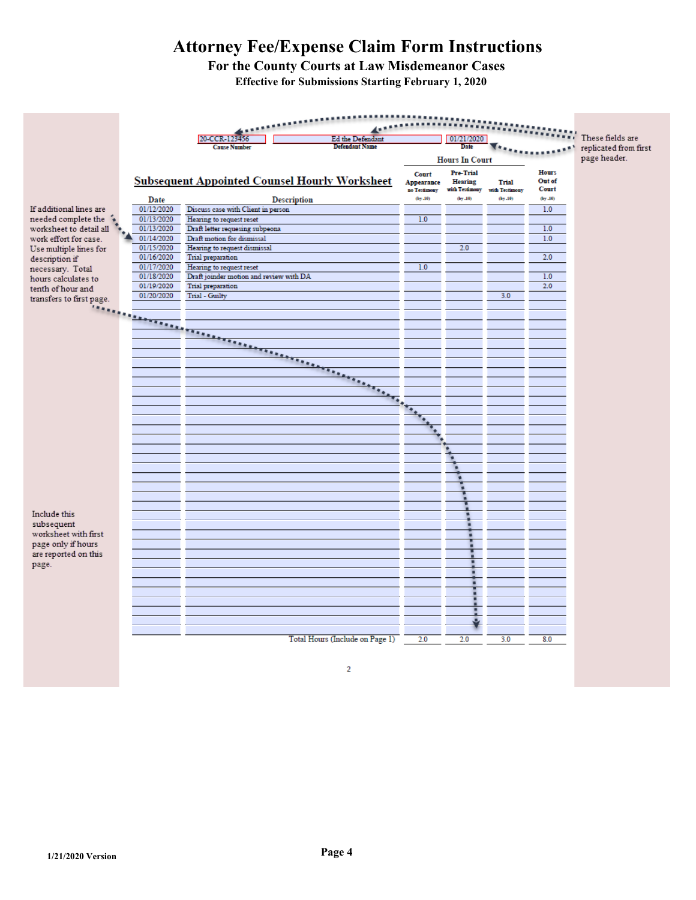# **Attorney Fee/Expense Claim Form Instructions**

**For the County Courts at Law Misdemeanor Cases Effective for Submissions Starting February 1, 2020**

|                                    |                    |                                         |                                                      |                         |                           |                           | These fields are |                       |
|------------------------------------|--------------------|-----------------------------------------|------------------------------------------------------|-------------------------|---------------------------|---------------------------|------------------|-----------------------|
|                                    |                    | 20-CCR-123456<br><b>Cause Number</b>    | Ed the Defendant<br><b>Defendant Name</b>            |                         | 01/21/2020<br>Date        |                           |                  |                       |
|                                    |                    |                                         |                                                      |                         |                           |                           |                  | replicated from first |
|                                    |                    |                                         |                                                      |                         | <b>Hours In Court</b>     |                           |                  | page header.          |
|                                    |                    |                                         |                                                      | Court                   | Pre-Trial                 |                           | <b>Hours</b>     |                       |
|                                    |                    |                                         | <b>Subsequent Appointed Counsel Hourly Worksheet</b> | Appearance              | <b>Hearing</b>            | Trial                     | Out of           |                       |
|                                    |                    |                                         |                                                      | no Testimony<br>(by.10) | with Testimony<br>(by.10) | with Testimony<br>(by.10) | Court<br>(by.10) |                       |
| If additional lines are            | Date<br>01/12/2020 | Discuss case with Client in person      | <b>Description</b>                                   |                         |                           |                           | 1.0              |                       |
| needed complete the                | 01/13/2020         | Hearing to request reset                |                                                      | 1.0                     |                           |                           |                  |                       |
| worksheet to detail all            | 01/13/2020         | Draft letter requesing subpeona         |                                                      |                         |                           |                           | 1.0              |                       |
| work effort for case.              | 01/14/2020         | Draft motion for dismissal              |                                                      |                         |                           |                           | 1.0              |                       |
| Use multiple lines for             | 01/15/2020         | Hearing to request dismissal            |                                                      |                         | 2.0                       |                           |                  |                       |
| description if                     | 01/16/2020         | Trial preparation                       |                                                      |                         |                           |                           | 2.0              |                       |
| necessary. Total                   | 01/17/2020         | Hearing to request reset                |                                                      | 1.0                     |                           |                           |                  |                       |
| hours calculates to                | 01/18/2020         | Draft joinder motion and review with DA |                                                      |                         |                           |                           | 1.0              |                       |
| tenth of hour and                  | 01/19/2020         | Trial preparation                       |                                                      |                         |                           |                           | 2.0              |                       |
| transfers to first page.           | 01/20/2020         | Trial - Guilty                          |                                                      |                         |                           | 3.0                       |                  |                       |
|                                    |                    |                                         |                                                      |                         |                           |                           |                  |                       |
|                                    |                    |                                         |                                                      |                         |                           |                           |                  |                       |
|                                    |                    |                                         |                                                      |                         |                           |                           |                  |                       |
|                                    |                    |                                         |                                                      |                         |                           |                           |                  |                       |
|                                    |                    |                                         |                                                      |                         |                           |                           |                  |                       |
|                                    |                    |                                         |                                                      |                         |                           |                           |                  |                       |
|                                    |                    |                                         |                                                      |                         |                           |                           |                  |                       |
|                                    |                    |                                         |                                                      |                         |                           |                           |                  |                       |
|                                    |                    |                                         | $\overline{a}$                                       |                         |                           |                           |                  |                       |
|                                    |                    |                                         |                                                      |                         |                           |                           |                  |                       |
|                                    |                    |                                         |                                                      |                         |                           |                           |                  |                       |
|                                    |                    |                                         |                                                      |                         |                           |                           |                  |                       |
|                                    |                    |                                         |                                                      |                         |                           |                           |                  |                       |
|                                    |                    |                                         |                                                      |                         |                           |                           |                  |                       |
|                                    |                    |                                         |                                                      |                         |                           |                           |                  |                       |
|                                    |                    |                                         |                                                      |                         |                           |                           |                  |                       |
|                                    |                    |                                         |                                                      |                         |                           |                           |                  |                       |
|                                    |                    |                                         |                                                      |                         |                           |                           |                  |                       |
|                                    |                    |                                         |                                                      |                         |                           |                           |                  |                       |
|                                    |                    |                                         |                                                      |                         |                           |                           |                  |                       |
| Include this                       |                    |                                         |                                                      |                         |                           |                           |                  |                       |
| subsequent<br>worksheet with first |                    |                                         |                                                      |                         |                           |                           |                  |                       |
| page only if hours                 |                    |                                         |                                                      |                         |                           |                           |                  |                       |
| are reported on this               |                    |                                         |                                                      |                         |                           |                           |                  |                       |
| page.                              |                    |                                         |                                                      |                         |                           |                           |                  |                       |
|                                    |                    |                                         |                                                      |                         |                           |                           |                  |                       |
|                                    |                    |                                         |                                                      |                         |                           |                           |                  |                       |
|                                    |                    |                                         |                                                      |                         |                           |                           |                  |                       |
|                                    |                    |                                         |                                                      |                         |                           |                           |                  |                       |
|                                    |                    |                                         |                                                      |                         |                           |                           |                  |                       |
|                                    |                    |                                         |                                                      |                         |                           |                           |                  |                       |
|                                    |                    |                                         | Total Hours (Include on Page 1)                      |                         | 2.0                       | 3.0                       | 8.0              |                       |
|                                    |                    |                                         |                                                      | 2.0                     |                           |                           |                  |                       |
|                                    |                    |                                         |                                                      |                         |                           |                           |                  |                       |

 $\overline{2}$